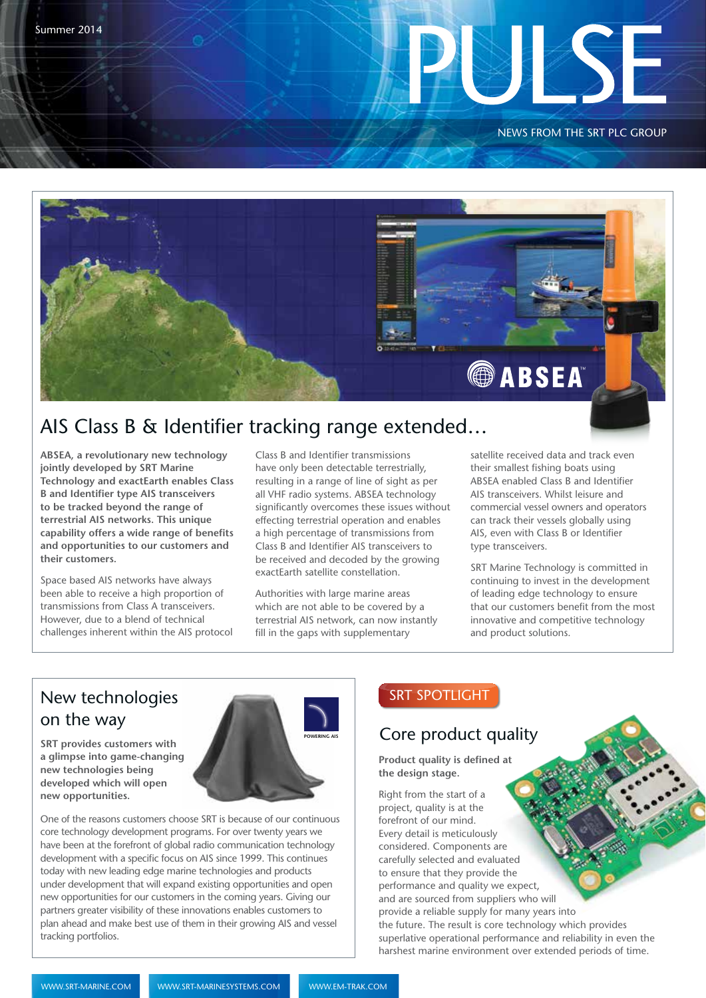NEWS FROM THE SRT PLC GROUP



## AIS Class B & Identifier tracking range extended…

**ABSEA, a revolutionary new technology jointly developed by SRT Marine Technology and exactEarth enables Class B and Identifier type AIS transceivers to be tracked beyond the range of terrestrial AIS networks. This unique capability offers a wide range of benefits and opportunities to our customers and their customers.** 

Space based AIS networks have always been able to receive a high proportion of transmissions from Class A transceivers. However, due to a blend of technical challenges inherent within the AIS protocol

Class B and Identifier transmissions have only been detectable terrestrially, resulting in a range of line of sight as per all VHF radio systems. ABSEA technology significantly overcomes these issues without effecting terrestrial operation and enables a high percentage of transmissions from Class B and Identifier AIS transceivers to be received and decoded by the growing exactEarth satellite constellation.

Authorities with large marine areas which are not able to be covered by a terrestrial AIS network, can now instantly fill in the gaps with supplementary

satellite received data and track even their smallest fishing boats using ABSEA enabled Class B and Identifier AIS transceivers. Whilst leisure and commercial vessel owners and operators can track their vessels globally using AIS, even with Class B or Identifier type transceivers.

SRT Marine Technology is committed in continuing to invest in the development of leading edge technology to ensure that our customers benefit from the most innovative and competitive technology and product solutions.

# on the way

**SRT provides customers with a glimpse into game-changing new technologies being developed which will open new opportunities.**



One of the reasons customers choose SRT is because of our continuous core technology development programs. For over twenty years we have been at the forefront of global radio communication technology development with a specific focus on AIS since 1999. This continues today with new leading edge marine technologies and products under development that will expand existing opportunities and open new opportunities for our customers in the coming years. Giving our partners greater visibility of these innovations enables customers to plan ahead and make best use of them in their growing AIS and vessel tracking portfolios.

### Core product quality

**Product quality is defined at the design stage.**

Close up image of a pca. Right from the start of a project, quality is at the forefront of our mind. Every detail is meticulously considered. Components are carefully selected and evaluated to ensure that they provide the performance and quality we expect, and are sourced from suppliers who will provide a reliable supply for many years into the future. The result is core technology which provides superlative operational performance and reliability in even the harshest marine environment over extended periods of time.